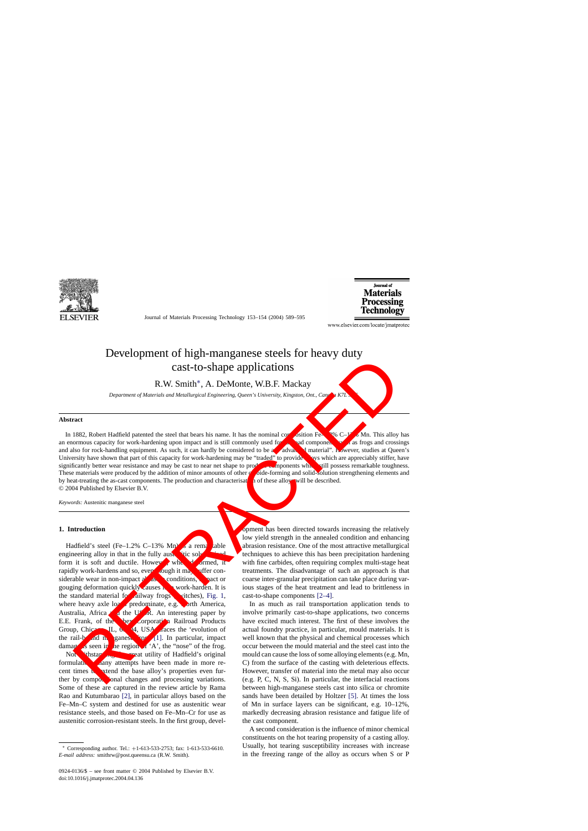

Journal of Materials Processing Technology 153–154 (2004) 589–595

**Journal of Materials Processing** Technology

www.elsevier.com/locate/jmatprotec

# Development of high-manganese steels for heavy duty cast-to-shape applications

R.W. Smith∗, A. DeMonte, W.B.F. Mackay

*Department of Materials and Metallurgical Engineering, Queen's University, Kingston, Ont., Canada K7L* 

# **Abstract**

In 1882, Robert Hadfield patented the steel that bears his name. It has the nominal composition Fe–1.2% C–1.3 Mn. This alloy has an enormous capacity for work-hardening upon impact and is still commonly used for railroad components as frogs and crossings and also for rock-handling equipment. As such, it can hardly be considered to be a material". However, studies at Queen's University have shown that part of this capacity for work-hardening may be "traded" to provide and wys which are appreciably stiffer, have significantly better wear resistance and may be cast to near net shape to produce and moments which still possess remarkable toughness.<br>These materials were produced by the addition of minor amounts of other dibide-forming These materials were produced by the addition of minor amounts of other by heat-treating the as-cast components. The production and characterisation of these allowed will be described. © 2004 Published by Elsevier B.V.

*Keywords:* Austenitic manganese steel

# **1. Introduction**

Hadfield's steel (Fe–1.2% C–13% Mn) is a remarkable engineering alloy in that in the fully austenative solution form it is soft and ductile. However, when dormed, it rapidly work-hardens and so,  $e^{i\phi}$  nough it may suffer considerable wear in non-impact  $\overline{a}$  conditions, in pact or gouging deformation quickly causes it work-harden. It is the standard material for railway frogs vitches), Fig. 1, where heavy axle  $\log$  s predominate, e.g. North America, Australia, Africa **d** the U<sub>SS</sub>R. An interesting paper by E.E. Frank, of the **New Corporation Railroad Products** Group, Chicago, IL,  $\delta_0$ ,  $\dot{A}$ , USA, takes the 'evolution of the rail- $\int$  and manganese for  $\begin{bmatrix} 1 \end{bmatrix}$ . In particular, impact damage is seen in the region of 'A', the "nose" of the frog. Not what we we at utility of Hadfield's original formulation, many attempts have been made in more recent times to extend the base alloy's properties even further by compositional changes and processing variations. Some of these are captured in the review article by Rama Rao and Kutumbarao [\[2\],](#page-6-0) in particular alloys based on the Fe–Mn–C system and destined for use as austenitic wear resistance steels, and those based on Fe–Mn–Cr for use as austenitic corrosion-resistant steels. In the first group, devel- [E](#page-6-0)xecution Contract the contract of the set of the set of the set of the set of the set of the set of the set of the set of the set of the set of the set of the set of the set of the set of the set of the set of the set of

opment has been directed towards increasing the relatively low yield strength in the annealed condition and enhancing abrasion resistance. One of the most attractive metallurgical techniques to achieve this has been precipitation hardening with fine carbides, often requiring complex multi-stage heat treatments. The disadvantage of such an approach is that coarse inter-granular precipitation can take place during various stages of the heat treatment and lead to brittleness in cast-to-shape components [2–4].

In as much as rail transportation application tends to involve primarily cast-to-shape applications, two concerns have excited much interest. The first of these involves the actual foundry practice, in particular, mould materials. It is well known that the physical and chemical processes which occur between the mould material and the steel cast into the mould can cause the loss of some alloying elements (e.g. Mn, C) from the surface of the casting with deleterious effects. However, transfer of material into the metal may also occur (e.g. P, C, N, S, Si). In particular, the interfacial reactions between high-manganese steels cast into silica or chromite sands have been detailed by Holtzer [\[5\].](#page-6-0) At times the loss of Mn in surface layers can be significant, e.g. 10–12%, markedly decreasing abrasion resistance and fatigue life of the cast component.

A second consideration is the influence of minor chemical constituents on the hot tearing propensity of a casting alloy. Usually, hot tearing susceptibility increases with increase in the freezing range of the alloy as occurs when S or P

<sup>∗</sup> Corresponding author. Tel.: +1-613-533-2753; fax: 1-613-533-6610. *E-mail address:* smithrw@post.queensu.ca (R.W. Smith).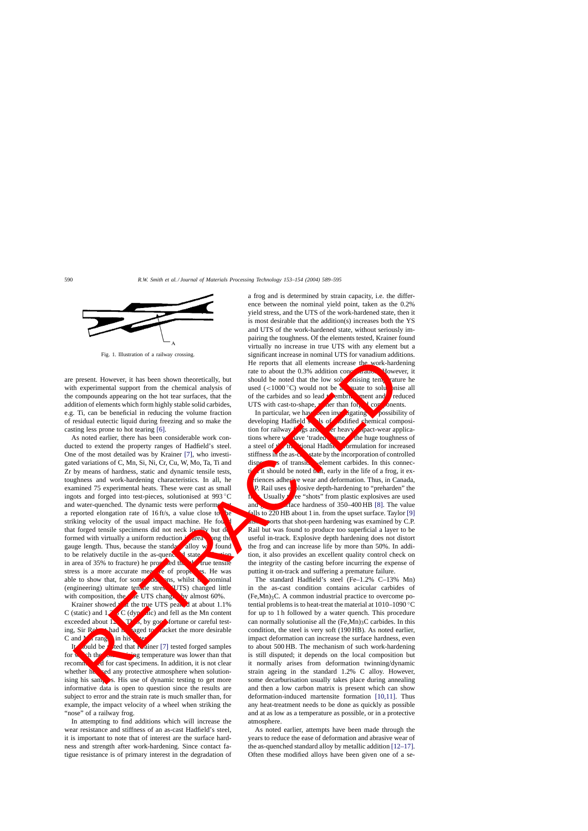<span id="page-1-0"></span>

Fig. 1. Illustration of a railway crossing.

are present. However, it has been shown theoretically, but with experimental support from the chemical analysis of the compounds appearing on the hot tear surfaces, that the addition of elements which form highly stable solid carbides, e.g. Ti, can be beneficial in reducing the volume fraction of residual eutectic liquid during freezing and so make the casting less prone to hot tearing [6].

As noted earlier, there has been considerable work conducted to extend the property ranges of Hadfield's steel. One of the most detailed was by Krainer [7], who investigated variations of C, Mn, Si, Ni, Cr, Cu, W, Mo, Ta, Ti and Zr by means of hardness, static and dynamic tensile tests, toughness and work-hardening characteristics. In all, he examined 75 experimental heats. These were cast as small ingots and forged into test-pieces, solutionised at 993 ◦C and water-quenched. The dynamic tests were perform a reported elongation rate of 16 ft/s, a value close to the striking velocity of the usual impact machine. He fou that forged tensile specimens did not neck locally but deformed with virtually a uniform reduction area long the gauge length. Thus, because the standard alloy  $\frac{1}{s}$  found to be relatively ductile in the as-quenched state in area of 35% to fracture) he proposed that the tensile stress is a more accurate measure of properties. He was able to show that, for some  $\mathbf{a}$  down as, whilst the nominal (engineering) ultimate tensile stress UTS) changed little with composition, the  $\mu$  de UTS changed by almost 60%. Report However, that keep on the contribution in the contribution in the contribution in the contribution of the contribution in the contribution of the contribution in the contribution of the contribution of the contribu

Krainer showed at the true UTS peak d at about  $1.1\%$ C (static) and  $1.3 \times C$  (dynamic) and fell as the Mn content exceeded about  $12 \sqrt{V}$  s, by good fortune or careful testing, Sir Robert had managed to bracket the more desirable C and  $\sqrt{m}$  ranges in his

**It should be noted that K** ainer [7] tested forged samples for which the solution is the solution of the solution of the solution of the solution of the solution of the solution of the solution of the solution of the solution of the solution of the solution of the solution of the recommended for cast specimens. In addition, it is not clear whether he sed any protective atmosphere when solutionising his samples. His use of dynamic testing to get more informative data is open to question since the results are subject to error and the strain rate is much smaller than, for example, the impact velocity of a wheel when striking the "nose" of a railway frog.

In attempting to find additions which will increase the wear resistance and stiffness of an as-cast Hadfield's steel, it is important to note that of interest are the surface hardness and strength after work-hardening. Since contact fatigue resistance is of primary interest in the degradation of a frog and is determined by strain capacity, i.e. the difference between the nominal yield point, taken as the 0.2% yield stress, and the UTS of the work-hardened state, then it is most desirable that the addition(s) increases both the YS and UTS of the work-hardened state, without seriously impairing the toughness. Of the elements tested, Krainer found virtually no increase in true UTS with any element but a significant increase in nominal UTS for vanadium additions. He reports that all elements increase the work-hardening rate to about the 0.3% addition concentration. However, it should be noted that the low solutionising temperature he used (<1000 $\degree$ C) would not be a quate to solutionise all of the carbides and so lead embrit ment and reduced

UTS with cast-to-shape, then than for components.<br>In particular, we have been involtagating possibility of In particular, we have been investigating developing Hadfield steels of modified chemical composition for railway ogs and outpact heavy impact-wear applications where **we** have 'traded' some the huge toughness of a steel of  $\epsilon$  the signal Hadfield formulation for increased stiffness in the as-cast state by the incorporation of controlled dispersions of transitive element carbides. In this connec-In it should be noted that, early in the life of a frog, it exeriences adhesive wear and deformation. Thus, in Canada, P. Rail uses  $\epsilon$  blosive depth-hardening to "preharden" the Usually  $f$  ee "shots" from plastic explosives are used and  $\epsilon$  and surface hardness of 350–400 HB [\[8\].](#page-6-0) The value falls to 220 HB about 1 in. from the upset surface. Taylor [\[9\]](#page-6-0) also ports that shot-peen hardening was examined by C.P. Rail but was found to produce too superficial a layer to be useful in-track. Explosive depth hardening does not distort the frog and can increase life by more than 50%. In addition, it also provides an excellent quality control check on the integrity of the casting before incurring the expense of putting it on-track and suffering a premature failure.

The standard Hadfield's steel (Fe–1.2% C–13% Mn) in the as-cast condition contains acicular carbides of  $(Fe, Mn)$ <sub>3</sub>C. A common industrial practice to overcome potential problems is to heat-treat the material at 1010–1090 ◦C for up to 1 h followed by a water quench. This procedure can normally solutionise all the  $(Fe, Mn)_3C$  carbides. In this condition, the steel is very soft (190 HB). As noted earlier, impact deformation can increase the surface hardness, even to about 500 HB. The mechanism of such work-hardening is still disputed; it depends on the local composition but it normally arises from deformation twinning/dynamic strain ageing in the standard 1.2% C alloy. However, some decarburisation usually takes place during annealing and then a low carbon matrix is present which can show deformation-induced martensite formation [\[10,11\].](#page-6-0) Thus any heat-treatment needs to be done as quickly as possible and at as low as a temperature as possible, or in a protective atmosphere.

As noted earlier, attempts have been made through the years to reduce the ease of deformation and abrasive wear of the as-quenched standard alloy by metallic addition [\[12–17\].](#page-6-0) Often these modified alloys have been given one of a se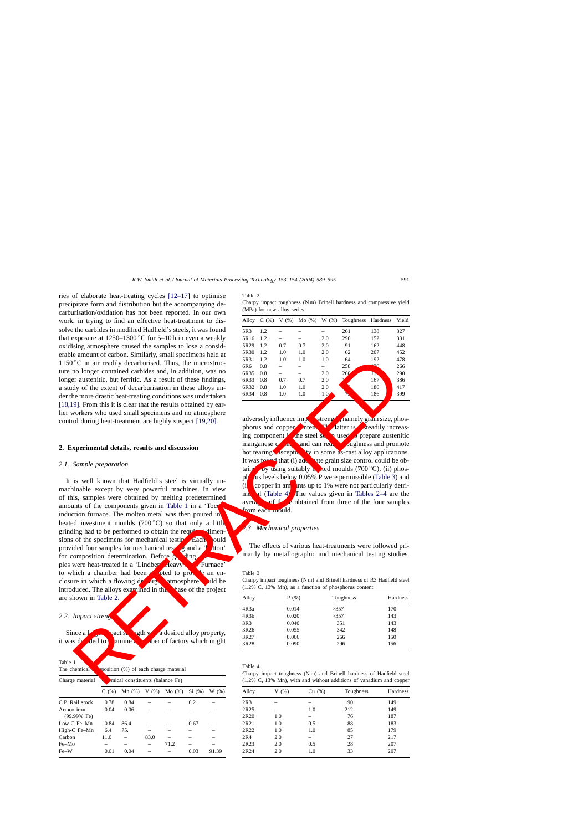<span id="page-2-0"></span>ries of elaborate heat-treating cycles [\[12–17\]](#page-6-0) to optimise precipitate form and distribution but the accompanying decarburisation/oxidation has not been reported. In our own work, in trying to find an effective heat-treatment to dissolve the carbides in modified Hadfield's steels, it was found that exposure at  $1250-1300$  °C for 5–10 h in even a weakly oxidising atmosphere caused the samples to lose a considerable amount of carbon. Similarly, small specimens held at  $1150\degree$ C in air readily decarburised. Thus, the microstructure no longer contained carbides and, in addition, was no longer austenitic, but ferritic. As a result of these findings, a study of the extent of decarburisation in these alloys under the more drastic heat-treating conditions was undertaken [\[18,19\].](#page-6-0) From this it is clear that the results obtained by earlier workers who used small specimens and no atmosphere control during heat-treatment are highly suspect [19,20].

# **2. Experimental details, results and discussion**

# *2.1. Sample preparation*

It is well known that Hadfield's steel is virtually unmachinable except by very powerful machines. In view of this, samples were obtained by melting predetermined amounts of the components given in Table 1 in a 'Tod induction furnace. The molten metal was then poured in heated investment moulds (700 $\degree$ C) so that only a little grinding had to be performed to obtain the required dimensions of the specimens for mechanical testing. Each mould provided four samples for mechanical test  $\log$  and a  $\log$  'utton' for composition determination. Before  $g_{\rm A}$  ling ples were heat-treated in a 'Lindberg Heavy Durinace' to which a chamber had been **b** to provide an enclosure in which a flowing  $d$  argon atmosphere could be introduced. The alloys examined in this phase of the project are shown in Table 2. Example the most contract can be determined can be determined to the most contract of the second can be determined to the second control of the second can be determined to the second control of the most can be a second co

# 2.2. Impact streng

Since a large impact strength was a desired alloy property, it was decided to examine a number of factors which might

# Table 1

# The chemical composition  $(\%)$  of each charge material

| Charge material             | mical constituents (balance Fe) |       |      |       |        |       |
|-----------------------------|---------------------------------|-------|------|-------|--------|-------|
|                             | C(%)                            | Mn(%) | V(%) | Mo(%) | Si (%) | W(%)  |
| C.P. Rail stock             | 0.78                            | 0.84  |      |       | 0.2    |       |
| Armco iron<br>$(99.99%$ Fe) | 0.04                            | 0.06  |      |       |        |       |
| Low-C Fe-Mn                 | 0.84                            | 86.4  |      |       | 0.67   |       |
| High-C Fe-Mn                | 6.4                             | 75.   |      |       |        |       |
| Carbon                      | 11.0                            |       | 83.0 |       |        |       |
| Fe–Mo                       |                                 |       |      | 71.2  |        |       |
| Fe-W                        | 0.01                            | 0.04  |      |       | 0.03   | 91.39 |

#### Table 2

Charpy impact toughness (N m) Brinell hardness and compressive yield (MPa) for new alloy series

| Alloy |     |     |     |     | $C$ (%) V (%) Mo (%) W (%) Toughness Hardness |     | Yield |
|-------|-----|-----|-----|-----|-----------------------------------------------|-----|-------|
| 5R3   | 1.2 |     |     |     | 261                                           | 138 | 327   |
| 5R16  | 1.2 |     |     | 2.0 | 290                                           | 152 | 331   |
| 5R29  | 1.2 | 0.7 | 0.7 | 2.0 | 91                                            | 162 | 448   |
| 5R30  | 1.2 | 1.0 | 1.0 | 2.0 | 62                                            | 207 | 452   |
| 5R31  | 1.2 | 1.0 | 1.0 | 1.0 | 64                                            | 192 | 478   |
| 6R6   | 0.8 |     |     |     | 258                                           |     | 266   |
| 6R35  | 0.8 |     |     | 2.0 | 26                                            | ь   | 290   |
| 6R33  | 0.8 | 0.7 | 0.7 | 2.0 |                                               | 167 | 386   |
| 6R32  | 0.8 | 1.0 | 1.0 | 2.0 |                                               | 186 | 417   |
| 6R34  | 0.8 | 1.0 | 1.0 |     |                                               | 186 | 399   |
|       |     |     |     |     |                                               |     |       |

adversely influence impacts strength, namely grain size, phosphorus and copper content. The latter is steadily increasing component the steel scrap used to prepare austenitic manganese  $\alpha$  and can reduce toughness and promote hot tearing disceptively in some as-cast alloy applications. It was found that (i) addeptate grain size control could be obtain drop using suitably heated moulds (700 °C), (ii) phosphoral phorons levels below 0.05% P were permissible (Table 3) and  $(i_{\bullet})$  copper in anticularly detrimental (Table 4). The values given in Tables 2–4 are the averages of the dividend from three of the four samples from each mould.

# *2.3. Mechanical properties*

The effects of various heat-treatments were followed primarily by metallographic and mechanical testing studies.

#### Table 3

Table 4

Charpy impact toughness (N m) and Brinell hardness of R3 Hadfield steel (1.2% C, 13% Mn), as a function of phosphorus content

| Alloy            | P(% ) | Toughness | Hardness |
|------------------|-------|-----------|----------|
| 4R3a             | 0.014 | >357      | 170      |
| 4R3b             | 0.020 | >357      | 143      |
| 3R <sub>3</sub>  | 0.040 | 351       | 143      |
| 3R <sub>26</sub> | 0.055 | 342       | 148      |
| 3R27             | 0.066 | 266       | 150      |
| 3R28             | 0.090 | 296       | 156      |

# Charpy impact toughness (N m) and Brinell hardness of Hadfield steel (1.2% C, 13% Mn), with and without additions of vanadium and copper

| Alloy | V(%) | Cu (%) | Toughness | Hardness |
|-------|------|--------|-----------|----------|
| 2R3   |      |        | 190       | 149      |
| 2R25  |      | 1.0    | 212       | 149      |
| 2R20  | 1.0  |        | 76        | 187      |
| 2R21  | 1.0  | 0.5    | 88        | 183      |
| 2R22  | 1.0  | 1.0    | 85        | 179      |
| 2R4   | 2.0  |        | 27        | 217      |
| 2R23  | 2.0  | 0.5    | 28        | 207      |
| 2R24  | 2.0  | 1.0    | 33        | 207      |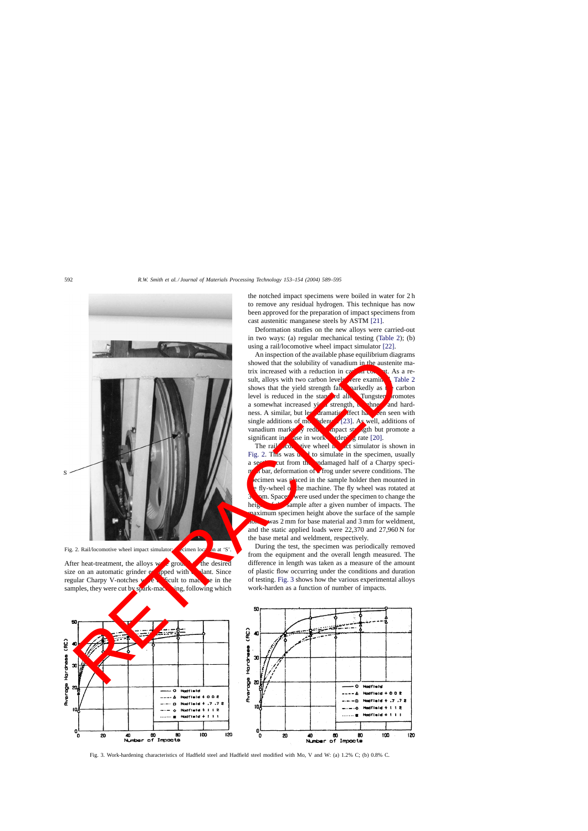

Fig. 2. Rail/locomotive wheel impact simulator  $\epsilon$  cimen location at 'S'.

After heat-treatment, the alloys  $\mathbf{v}$  de ground the desired size on an automatic grinder **expanding the value of the coolant**. Since regular Charpy V-notches were difficult to machine in the samples, they were cut by spark-machining, following which



the notched impact specimens were boiled in water for 2 h to remove any residual hydrogen. This technique has now been approved for the preparation of impact specimens from cast austenitic manganese steels by ASTM [\[21\].](#page-6-0)

Deformation studies on the new alloys were carried-out in two ways: (a) regular mechanical testing [\(Table 2\);](#page-2-0) (b) using a rail/locomotive wheel impact simulator [\[22\].](#page-6-0)

An inspection of the available phase equilibrium diagrams showed that the solubility of vanadium in the austenite matrix increased with a reduction in  $C^2$  on  $C^2$ , it. As a re-sult, alloys with two carbon levels were examined. [Table 2](#page-2-0) shows that the yield strength falls markedly as  $\mathbf{t}$  carbon level is reduced in the standard allowed Tungsten promotes a somewhat increased  $y'$  of strength, to the and hardness. A similar, but less dramatic effect has been with single additions of molybdenum  $[23]$ . As well, additions of vanadium markedly reduce impact strength but promote a significant in  $\alpha$ se in work-hardening rate [20].

The rail  $\int_0^{\infty}$  vive wheel in  $\int_0^{\infty}$  ct simulator is shown in Fig. 2. This was  $\mathbf{u}$  to simulate in the specimen, usually cut from the undamaged half of a Charpy speci- $\pi$  bar, deformation of  $\pi$  frog under severe conditions. The pecimen was aced in the sample holder then mounted in the fly-wheel of the machine. The fly wheel was rotated at **PM.** Spacer were used under the specimen to change the height of the sample after a given number of impacts. The maximum specimen height above the surface of the sample  $\blacktriangleright$  was 2 mm for base material and 3 mm for weldment, and the static applied loads were 22,370 and 27,960 N for the base metal and weldment, respectively.

During the test, the specimen was periodically removed from the equipment and the overall length measured. The difference in length was taken as a measure of the amount of plastic flow occurring under the conditions and duration of testing. Fig. 3 shows how the various experimental alloys work-harden as a function of number of impacts.



Fig. 3. Work-hardening characteristics of Hadfield steel and Hadfield steel modified with Mo, V and W: (a) 1.2% C; (b) 0.8% C.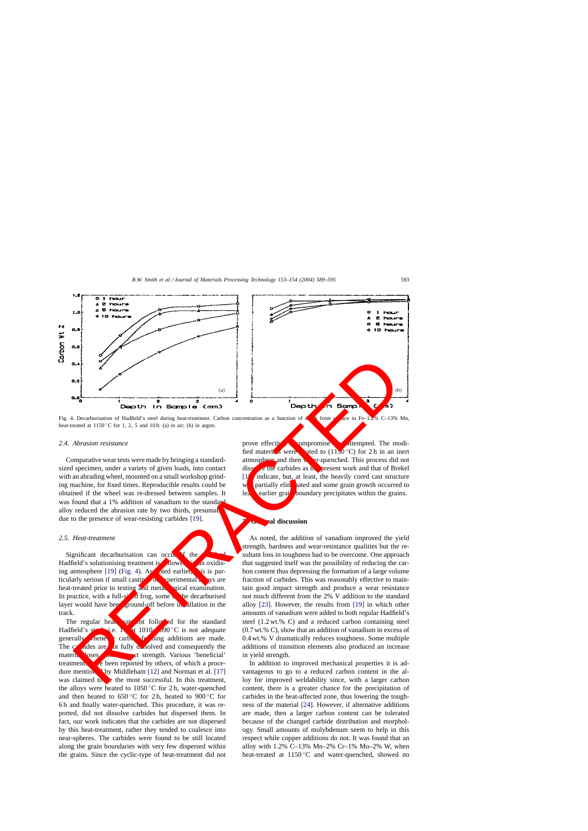



Fig. 4. Decarburisation of Hadfield's steel during heat-treatment. Carbon concentration as a function of depth from surface in Fe–1.2% C–13% Mn, heat-treated at  $1150\,^{\circ}$ C for 1, 2, 5 and 10 h: (a) in air; (b) in argon.

## *2.4. Abrasion resistance*

Comparative wear tests were made by bringing a standardsized specimen, under a variety of given loads, into contact with an abrading wheel, mounted on a small workshop grinding machine, for fixed times. Reproducible results could be obtained if the wheel was re-dressed between samples. It was found that a 1% addition of vanadium to the standard alloy reduced the abrasion rate by two thirds, presumal due to the presence of wear-resisting carbides [19].

### *2.5. Heat-treatment*

Significant decarburisation can occur  $\mathbf{f}$  the Hadfield's solutionising treatment *is* followed an oxidising atmosphere [19] (Fig. 4). A oted earlier, is is particularly serious if small castings of experimental all ys are heat-treated prior to testing and metallurgical examination. In practice, with a full-sized frog, some  $\lambda$  be decarburised layer would have been ground-off before in allation in the track.

The regular heat  $\mathbb{R}^n$  ont followed for the standard Hadfield's steel, i.e. 1 t  $1010$  J90 °C is not adequate generally whenever carbital for aing additions are made. The coides are not fully dissolved and consequently the material loses some impact strength. Various 'beneficial' treatments we been reported by others, of which a procedure mentioned by Middleham  $[12]$  and Norman et al.  $[17]$ was claimed to  $\bullet$  the most successful. In this treatment, the alloys were heated to  $1050\,^{\circ}\text{C}$  for 2h, water-quenched and then heated to 650 °C for 2 h, heated to 900 °C for 6 h and finally water-quenched. This procedure, it was reported, did not dissolve carbides but dispersed them. In fact, our work indicates that the carbides are not dispersed by this heat-treatment, rather they tended to coalesce into near-spheres. The carbides were found to be still located along the grain boundaries with very few dispersed within the grains. Since the cyclic-type of heat-treatment did not prove effective, compromise attempted. The modified materials were heated to  $(1150°C)$  for 2 h in an inert atmosphere and then  $\mathbf{w}$  ar-quenched. This process did not distorve the carbides as the present work and that of Brekel  $\begin{bmatrix} 1 \\ 1 \end{bmatrix}$  indicate, but, at least, the heavily cored cast structure w<sub>as</sub> partially eliminated and some grain growth occurred to leave earlier grain-boundary precipitates within the grains.

## **3. General discussion**

As noted, the addition of vanadium improved the yield strength, hardness and wear-resistance qualities but the resultant loss in toughness had to be overcome. One approach that suggested itself was the possibility of reducing the carbon content thus depressing the formation of a large volume fraction of carbides. This was reasonably effective to maintain good impact strength and produce a wear resistance not much different from the 2% V addition to the standard alloy [23]. However, the results from [19] in which other amounts of vanadium were added to both regular Hadfield's steel (1.2 wt.% C) and a reduced carbon containing steel (0.7 wt.% C), show that an addition of vanadium in excess of 0.4 wt.% V dramatically reduces toughness. Some multiple additions of transition elements also produced an increase in yield strength. Example the material of the same term is a series of the same term is a series of the same of the same of the same of the same of the same of the same of the same of the same of the same of the same of the same of the sam

In addition to improved mechanical properties it is advantageous to go to a reduced carbon content in the alloy for improved weldability since, with a larger carbon content, there is a greater chance for the precipitation of carbides in the heat-affected zone, thus lowering the toughness of the material [\[24\].](#page-6-0) However, if alternative additions are made, then a larger carbon content can be tolerated because of the changed carbide distribution and morphology. Small amounts of molybdenum seem to help in this respect while copper additions do not. It was found that an alloy with 1.2% C–13% Mn–2% Cr–1% Mo–2% W, when heat-treated at 1150 ℃ and water-quenched, showed no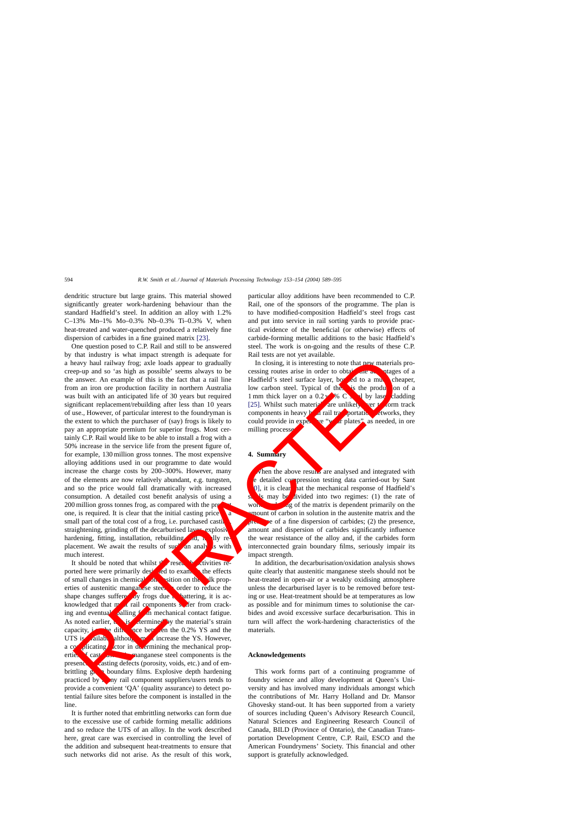dendritic structure but large grains. This material showed significantly greater work-hardening behaviour than the standard Hadfield's steel. In addition an alloy with 1.2% C–13% Mn–1% Mo–0.3% Nb–0.3% Ti–0.3% V, when heat-treated and water-quenched produced a relatively fine dispersion of carbides in a fine grained matrix [\[23\].](#page-6-0)

One question posed to C.P. Rail and still to be answered by that industry is what impact strength is adequate for a heavy haul railway frog; axle loads appear to gradually creep-up and so 'as high as possible' seems always to be the answer. An example of this is the fact that a rail line from an iron ore production facility in northern Australia was built with an anticipated life of 30 years but required significant replacement/rebuilding after less than 10 years of use., However, of particular interest to the foundryman is the extent to which the purchaser of (say) frogs is likely to pay an appropriate premium for superior frogs. Most certainly C.P. Rail would like to be able to install a frog with a 50% increase in the service life from the present figure of, for example, 130 million gross tonnes. The most expensive alloying additions used in our programme to date would increase the charge costs by 200–300%. However, many of the elements are now relatively abundant, e.g. tungsten, and so the price would fall dramatically with increased consumption. A detailed cost benefit analysis of using a  $200$  million gross tonnes frog, as compared with the pr one, is required. It is clear that the initial casting price small part of the total cost of a frog, i.e. purchased casti straightening, grinding off the decarburised layer, explosively hardening, fitting, installation, rebuilding and, ally replacement. We await the results of such an analysis with much interest. Example, the media of the special content in the special content in the special content in the special content in the special content in the special content in the special content in the special content in the special con

It should be noted that whilst  $\epsilon$  research activities reported here were primarily designed to examine the effects of small changes in chemical composition on the bulk properties of austenitic manganese steel order to reduce the shape changes suffer by frogs due  $\lambda$  battering, it is acknowledged that  $m$  st rail components suffer from cracking and eventual spalling from mechanical contact fatigue. As noted earlier,  $\mathbf{h}$  is determined by the material's strain capacity,  $\frac{1}{2}$  the difference between the 0.2% YS and the UTS is vailable although more increase the YS. However, a complicating  $\int$  actor in determining the mechanical properties case and manganese steel components is the presence casting defects (porosity, voids, etc.) and of embrittling  $g_k$  boundary films. Explosive depth hardening practiced by  $\mathbf{k}$  any rail component suppliers/users tends to provide a convenient 'QA' (quality assurance) to detect potential failure sites before the component is installed in the line.

It is further noted that embrittling networks can form due to the excessive use of carbide forming metallic additions and so reduce the UTS of an alloy. In the work described here, great care was exercised in controlling the level of the addition and subsequent heat-treatments to ensure that such networks did not arise. As the result of this work,

particular alloy additions have been recommended to C.P. Rail, one of the sponsors of the programme. The plan is to have modified-composition Hadfield's steel frogs cast and put into service in rail sorting yards to provide practical evidence of the beneficial (or otherwise) effects of carbide-forming metallic additions to the basic Hadfield's steel. The work is on-going and the results of these C.P. Rail tests are not yet available.

In closing, it is interesting to note that **new** materials processing routes arise in order to obtain the advantages of a Hadfield's steel surface layer, by ed to a much cheaper, Hadfield's steel surface layer, bounded to a much cheaper, low carbon steel. Typical of the is the production of a 1 mm thick layer on a 0.2  $\cdot$  % C steel by laser cladding [25]. Whilst such materials are unlikely ver to form track components in heavy  $\mathcal{A}$  rail transportation networks, they could provide in expensive "wear plates", as needed, in ore milling process

# **4. Summary**

When the above results are analysed and integrated with he detailed compression testing data carried-out by Sant **20]**, it is clear hat the mechanical response of Hadfield's Is may be divided into two regimes: (1) the rate of work  $\mathbb{R}$  of the matrix is dependent primarily on the amount of carbon in solution in the austenite matrix and the  $p_{\text{rel}}$  se of a fine dispersion of carbides; (2) the presence, amount and dispersion of carbides significantly influence the wear resistance of the alloy and, if the carbides form interconnected grain boundary films, seriously impair its impact strength.

In addition, the decarburisation/oxidation analysis shows quite clearly that austenitic manganese steels should not be heat-treated in open-air or a weakly oxidising atmosphere unless the decarburised layer is to be removed before testing or use. Heat-treatment should be at temperatures as low as possible and for minimum times to solutionise the carbides and avoid excessive surface decarburisation. This in turn will affect the work-hardening characteristics of the materials.

# **Acknowledgements**

This work forms part of a continuing programme of foundry science and alloy development at Queen's University and has involved many individuals amongst which the contributions of Mr. Harry Holland and Dr. Mansor Ghovesky stand-out. It has been supported from a variety of sources including Queen's Advisory Research Council, Natural Sciences and Engineering Research Council of Canada, BILD (Province of Ontario), the Canadian Transportation Development Centre, C.P. Rail, ESCO and the American Foundrymens' Society. This financial and other support is gratefully acknowledged.